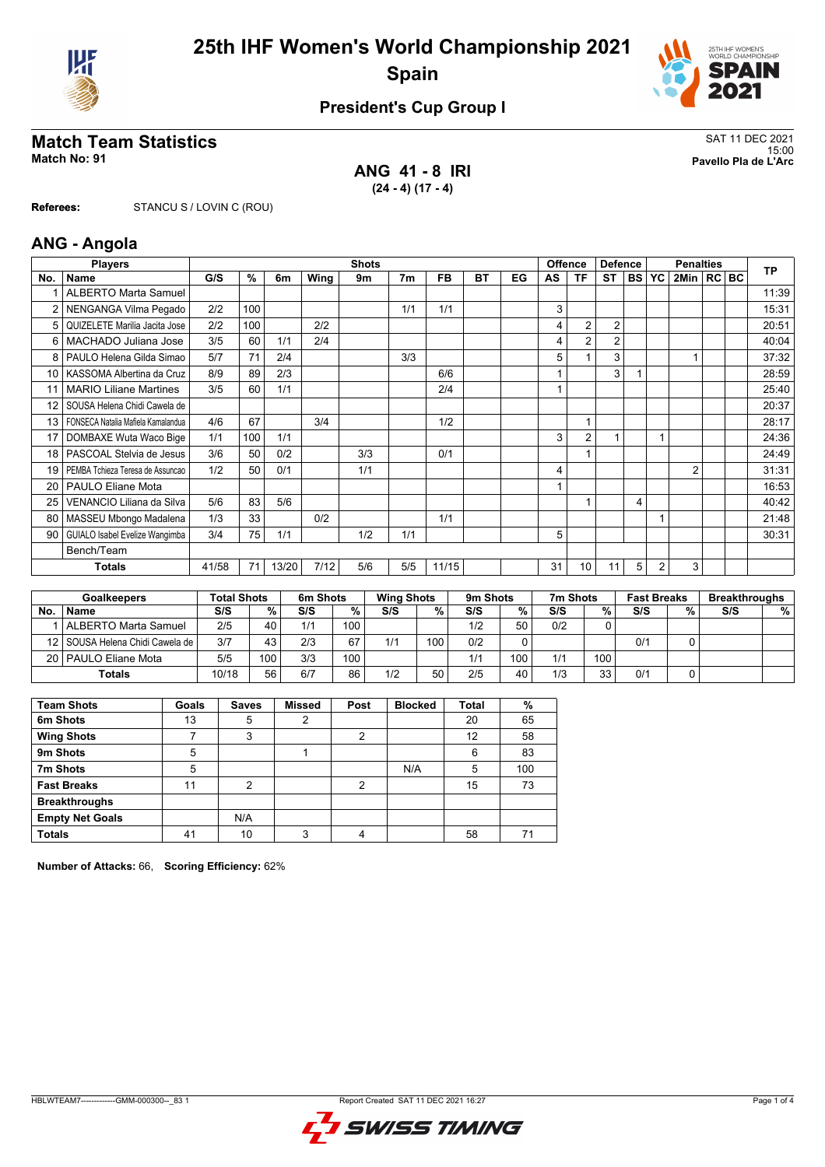



## **President's Cup Group I**

## **Match Team Statistics** SAT 11 DEC 2021

**ANG 41 - 8 IRI (24 - 4) (17 - 4)**

15:00 **Match No: 91 Pavello Pla de L'Arc**

**Referees:** STANCU S / LOVIN C (ROU)

#### **ANG - Angola**

|      | <b>Players</b>                     |       | <b>Shots</b>  |       |      |     |                |           |           |    |    | <b>Offence</b><br><b>Defence</b> |                |                | <b>Penalties</b> |                |  |  | <b>TP</b> |
|------|------------------------------------|-------|---------------|-------|------|-----|----------------|-----------|-----------|----|----|----------------------------------|----------------|----------------|------------------|----------------|--|--|-----------|
| No.  | <b>Name</b>                        | G/S   | $\frac{9}{6}$ | 6m    | Wing | 9m  | 7 <sub>m</sub> | <b>FB</b> | <b>BT</b> | EG | AS | ΤF                               | <b>ST</b>      | <b>BS</b>      | <b>YC</b>        | 2Min   RC BC   |  |  |           |
|      | <b>ALBERTO Marta Samuel</b>        |       |               |       |      |     |                |           |           |    |    |                                  |                |                |                  |                |  |  | 11:39     |
|      | NENGANGA Vilma Pegado              | 2/2   | 100           |       |      |     | 1/1            | 1/1       |           |    | 3  |                                  |                |                |                  |                |  |  | 15:31     |
| 5    | QUIZELETE Marilia Jacita Jose      | 2/2   | 100           |       | 2/2  |     |                |           |           |    | 4  | $\overline{2}$                   | $\overline{2}$ |                |                  |                |  |  | 20:51     |
| 6    | MACHADO Juliana Jose               | 3/5   | 60            | 1/1   | 2/4  |     |                |           |           |    | 4  | 2                                | $\overline{2}$ |                |                  |                |  |  | 40:04     |
| 8    | PAULO Helena Gilda Simao           | 5/7   | 71            | 2/4   |      |     | 3/3            |           |           |    | 5  |                                  | 3              |                |                  |                |  |  | 37:32     |
| 10 l | KASSOMA Albertina da Cruz          | 8/9   | 89            | 2/3   |      |     |                | 6/6       |           |    |    |                                  | 3              |                |                  |                |  |  | 28:59     |
| 11   | <b>MARIO Liliane Martines</b>      | 3/5   | 60            | 1/1   |      |     |                | 2/4       |           |    |    |                                  |                |                |                  |                |  |  | 25:40     |
| 12   | SOUSA Helena Chidi Cawela de       |       |               |       |      |     |                |           |           |    |    |                                  |                |                |                  |                |  |  | 20:37     |
| 13   | FONSECA Natalia Mafiela Kamalandua | 4/6   | 67            |       | 3/4  |     |                | 1/2       |           |    |    |                                  |                |                |                  |                |  |  | 28:17     |
| 17   | DOMBAXE Wuta Waco Bige             | 1/1   | 100           | 1/1   |      |     |                |           |           |    | 3  | $\overline{2}$                   |                |                | 1                |                |  |  | 24:36     |
| 18   | PASCOAL Stelvia de Jesus           | 3/6   | 50            | 0/2   |      | 3/3 |                | 0/1       |           |    |    |                                  |                |                |                  |                |  |  | 24:49     |
| 19   | PEMBA Tchieza Teresa de Assuncao   | 1/2   | 50            | 0/1   |      | 1/1 |                |           |           |    | 4  |                                  |                |                |                  | $\overline{2}$ |  |  | 31:31     |
| 20   | <b>PAULO Eliane Mota</b>           |       |               |       |      |     |                |           |           |    |    |                                  |                |                |                  |                |  |  | 16:53     |
| 25   | VENANCIO Liliana da Silva          | 5/6   | 83            | 5/6   |      |     |                |           |           |    |    |                                  |                | $\overline{4}$ |                  |                |  |  | 40:42     |
| 80   | MASSEU Mbongo Madalena             | 1/3   | 33            |       | 0/2  |     |                | 1/1       |           |    |    |                                  |                |                |                  |                |  |  | 21:48     |
| 90   | GUIALO Isabel Evelize Wangimba     | 3/4   | 75            | 1/1   |      | 1/2 | 1/1            |           |           |    | 5  |                                  |                |                |                  |                |  |  | 30:31     |
|      | Bench/Team                         |       |               |       |      |     |                |           |           |    |    |                                  |                |                |                  |                |  |  |           |
|      | Totals                             | 41/58 | 71            | 13/20 | 7/12 | 5/6 | 5/5            | 11/15     |           |    | 31 | 10                               | 11             | 5              | 2                | 3              |  |  |           |

| <b>Goalkeepers</b> |                                   | <b>Total Shots</b> |     | 6m Shots |     | <b>Wing Shots</b> |     | 9 <sub>m</sub> Shots |     |     | 7m Shots |     | <b>Fast Breaks</b> | <b>Breakthroughs</b> |   |
|--------------------|-----------------------------------|--------------------|-----|----------|-----|-------------------|-----|----------------------|-----|-----|----------|-----|--------------------|----------------------|---|
| No.                | <b>Name</b>                       | S/S                | %   | S/S      | %   | S/S               | %   | S/S                  | %   | S/S | %        | S/S | %.                 | S/S                  | % |
|                    | ALBERTO Marta Samuel              | 2/5                | 40  | 1/1      | 100 |                   |     | 1/2                  | 50  | 0/2 |          |     |                    |                      |   |
|                    | 12   SOUSA Helena Chidi Cawela de | 3/7                | 43  | 2/3      | 67  | 1/1               | 100 | 0/2                  |     |     |          | 0/1 |                    |                      |   |
|                    | 20   PAULO Eliane Mota            | 5/5                | 100 | 3/3      | 100 |                   |     | 1/1                  | 100 | 1/1 | 100      |     |                    |                      |   |
|                    | Totals                            | 10/18              | 56  | 6/7      | 86  | 1/2               | 50  | 2/5                  | 40  | 1/3 | 33       | 0/1 |                    |                      |   |

| <b>Team Shots</b>      | Goals | <b>Saves</b>   | <b>Missed</b> | Post | <b>Blocked</b> | Total | %   |
|------------------------|-------|----------------|---------------|------|----------------|-------|-----|
| 6m Shots               | 13    | 5              | っ             |      |                | 20    | 65  |
| <b>Wing Shots</b>      |       | 3              |               | 2    |                | 12    | 58  |
| 9m Shots               | 5     |                |               |      |                | 6     | 83  |
| 7m Shots               | 5     |                |               |      | N/A            | 5     | 100 |
| <b>Fast Breaks</b>     | 11    | $\mathfrak{p}$ |               | 2    |                | 15    | 73  |
| <b>Breakthroughs</b>   |       |                |               |      |                |       |     |
| <b>Empty Net Goals</b> |       | N/A            |               |      |                |       |     |
| <b>Totals</b>          | 41    | 10             | 3             |      |                | 58    | 71  |

**Number of Attacks:** 66, **Scoring Efficiency:** 62%

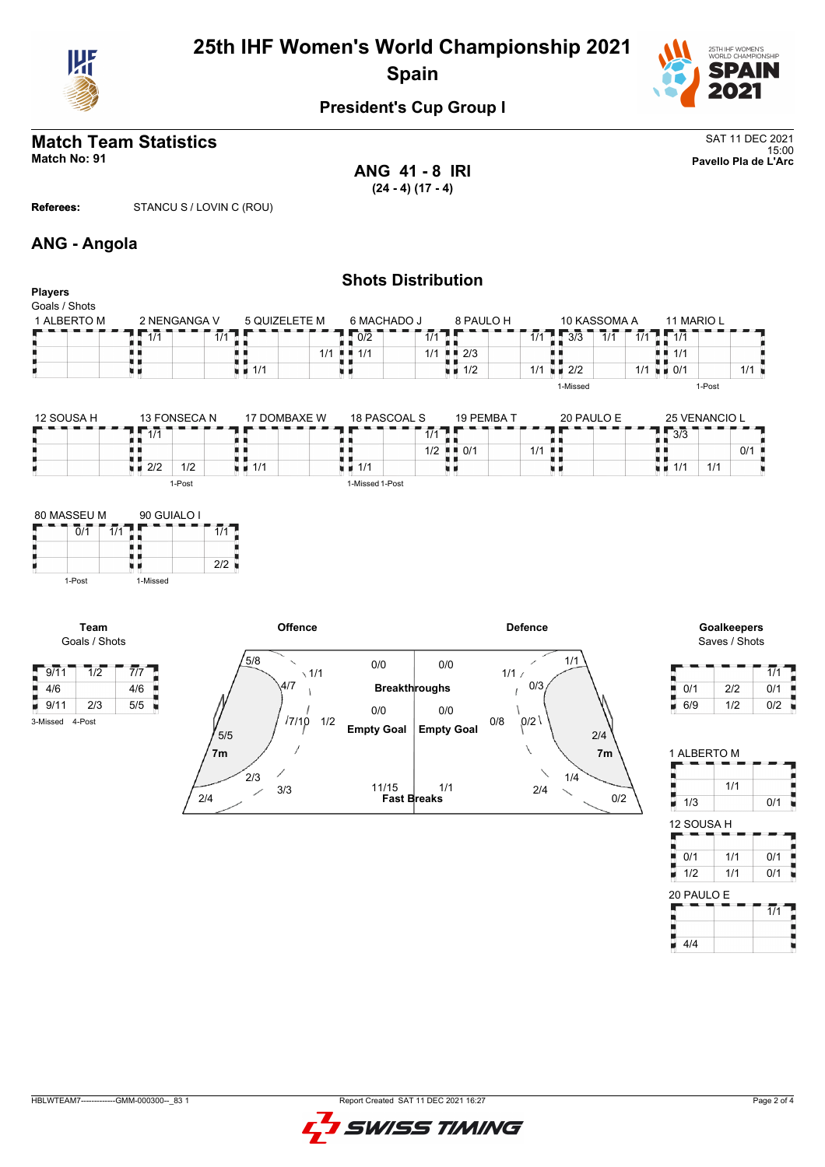

# **25th IHF Women's World Championship 2021 Spain**



## **President's Cup Group I**

## **Match Team Statistics** SAT 11 DEC 2021

**ANG 41 - 8 IRI (24 - 4) (17 - 4)**

15:00 **Match No: 91 Pavello Pla de L'Arc**

**Referees:** STANCU S / LOVIN C (ROU)

#### **ANG - Angola**

| <b>Players</b>                                                 |                             |                                   |                                           | <b>Shots Distribution</b> |                            |                                    |                                   |                                     |
|----------------------------------------------------------------|-----------------------------|-----------------------------------|-------------------------------------------|---------------------------|----------------------------|------------------------------------|-----------------------------------|-------------------------------------|
| Goals / Shots<br>1 ALBERTO M                                   | 2 NENGANGA V                | 5 QUIZELETE M                     | 6 MACHADO J                               | 8 PAULO H                 |                            | 10 KASSOMA A                       | 11 MARIO L                        |                                     |
|                                                                | 1/1                         | 1/1                               | $\overline{0/2}$                          | 1/1                       | 1/1                        | 3/3<br>$\overline{1}/\overline{1}$ | $\overline{1/1}$<br>1/1<br>д      |                                     |
|                                                                |                             | ٠                                 | $1/1$ $\blacksquare$ $\blacksquare$ $1/1$ | $1/1$ $\blacksquare$ 2/3  | ш                          |                                    | н.<br>1/1                         |                                     |
| ٠                                                              | uи                          | $\blacksquare$ 1/1                | u 11                                      | $\blacksquare$ 1/2        | $1/1$ $\blacksquare$ $2/2$ |                                    | $\blacksquare$ 0/1<br>1/1         | $1/1$ $\blacksquare$                |
|                                                                |                             |                                   |                                           |                           |                            | 1-Missed                           |                                   | 1-Post                              |
| 12 SOUSA H                                                     | 13 FONSECA N                | 17 DOMBAXE W                      | 18 PASCOAL S                              | 19 PEMBA T                |                            | 20 PAULO E                         |                                   | 25 VENANCIO L                       |
|                                                                | $\overline{1/1}$            |                                   |                                           | $\overline{1/1}$          |                            |                                    | $\overline{3}/\overline{3}$       |                                     |
|                                                                |                             |                                   |                                           | $1/2$ $\frac{1}{2}$ 0/1   | $1/1$ $\blacksquare$       |                                    |                                   | 0/1                                 |
| н                                                              | $\blacksquare$ 2/2<br>1/2   | $\blacksquare$ $\blacksquare$ 1/1 | $\blacksquare$ $\blacksquare$ 1/1         | 电电                        | uв                         |                                    | $\blacksquare$ $\blacksquare$ 1/1 | 1/1                                 |
| 80 MASSEU M<br>$\overline{0}/\overline{1}$<br>$\overline{1/1}$ | 90 GUIALO I                 | 1/1                               |                                           |                           |                            |                                    |                                   |                                     |
| н                                                              |                             | 2/2                               |                                           |                           |                            |                                    |                                   |                                     |
| 1-Post                                                         | 1-Missed                    |                                   |                                           |                           |                            |                                    |                                   |                                     |
| Team<br>Goals / Shots                                          |                             |                                   | Offence                                   |                           | <b>Defence</b>             |                                    |                                   | <b>Goalkeepers</b><br>Saves / Shots |
| $-9/11$<br>1/2                                                 | $\overline{7}/\overline{7}$ | 5/8                               | 0/0<br>$\sqrt{1/1}$                       | 0/0                       | 1/1/                       | 1/1                                |                                   |                                     |
| 4/6                                                            | 4/6                         | 4/7                               |                                           | <b>Breakthroughs</b>      | 0/3                        |                                    | 0/1                               | 2/2                                 |
| 9/11<br>2/3                                                    | 5/5                         |                                   | $\cap$                                    | n/n                       |                            |                                    | 6/9<br>۳                          | 1/2                                 |

| 4/6             |     | 4/6 |
|-----------------|-----|-----|
| 9/11            | 2/3 | 5/5 |
| 3-Missed 4-Post |     |     |



|     |     | 1/1 |
|-----|-----|-----|
| 0/1 | 2/2 | 0/1 |
| 6/9 | 1/2 | 0/2 |

| 1 ALBERTO M |     |                  |
|-------------|-----|------------------|
|             |     |                  |
|             | 1/1 |                  |
| 1/3         |     | 0/1              |
| 12 SOUSA H  |     |                  |
|             |     |                  |
| 0/1         | 1/1 | 0/1<br>ļ         |
| 1/2         | 1/1 | 0/1              |
| 20 PAULO E  |     |                  |
|             |     | $\overline{1}/1$ |
|             |     |                  |
| 4/4         |     |                  |

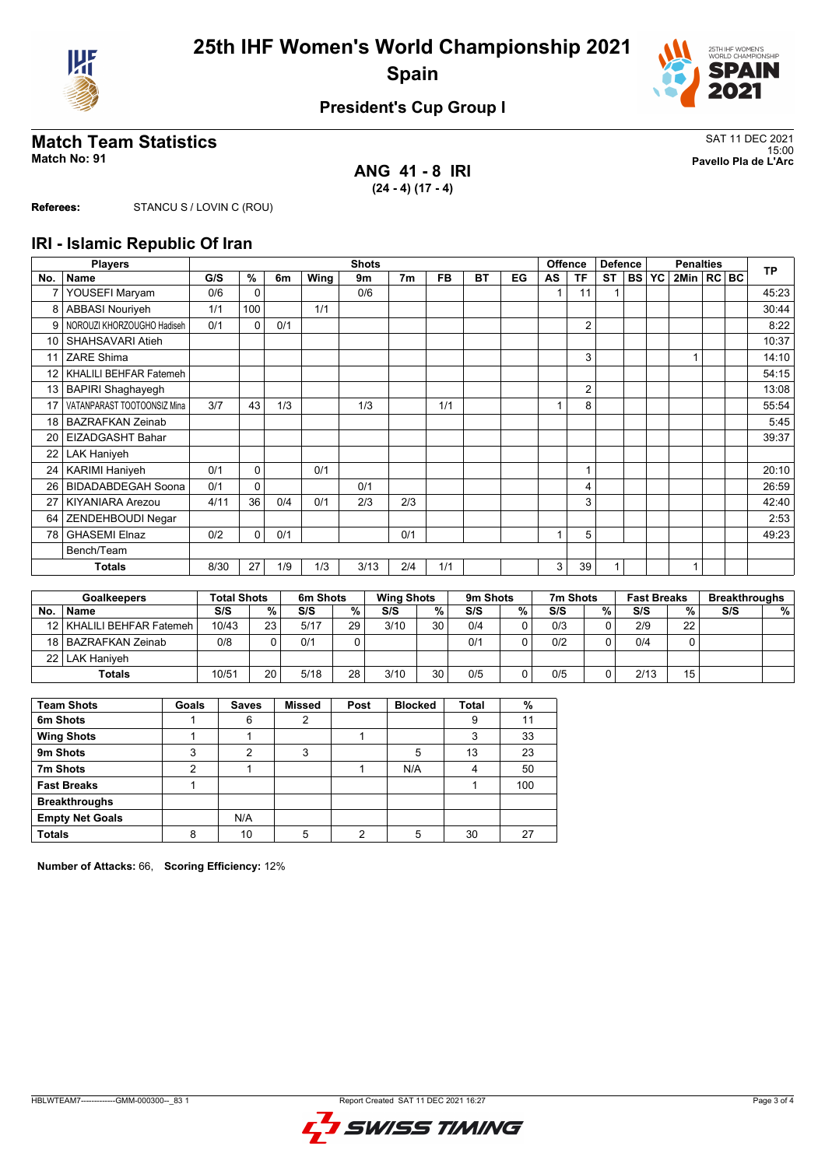



#### **President's Cup Group I**

### **Match Team Statistics** SAT 11 DEC 2021

**ANG 41 - 8 IRI (24 - 4) (17 - 4)**

15:00 **Match No: 91 Pavello Pla de L'Arc**

**Referees:** STANCU S / LOVIN C (ROU)

#### **IRI - Islamic Republic Of Iran**

|                 | <b>Players</b>              |      | <b>Shots</b> |     |      |      |                |           |           |    | <b>Offence</b><br><b>Defence</b> |                |           | <b>Penalties</b> |           |              |  | <b>TP</b> |       |
|-----------------|-----------------------------|------|--------------|-----|------|------|----------------|-----------|-----------|----|----------------------------------|----------------|-----------|------------------|-----------|--------------|--|-----------|-------|
| No.             | Name                        | G/S  | %            | 6m  | Wing | 9m   | 7 <sub>m</sub> | <b>FB</b> | <b>BT</b> | EG | AS                               | <b>TF</b>      | <b>ST</b> | <b>BSI</b>       | <b>YC</b> | 2Min   RC BC |  |           |       |
| 7               | YOUSEFI Maryam              | 0/6  | $\Omega$     |     |      | 0/6  |                |           |           |    |                                  | 11             |           |                  |           |              |  |           | 45:23 |
| 8               | <b>ABBASI Nouriveh</b>      | 1/1  | 100          |     | 1/1  |      |                |           |           |    |                                  |                |           |                  |           |              |  |           | 30:44 |
| 9               | NOROUZI KHORZOUGHO Hadiseh  | 0/1  | $\Omega$     | 0/1 |      |      |                |           |           |    |                                  | 2              |           |                  |           |              |  |           | 8:22  |
| 10              | SHAHSAVARI Atieh            |      |              |     |      |      |                |           |           |    |                                  |                |           |                  |           |              |  |           | 10:37 |
| 11              | <b>ZARE Shima</b>           |      |              |     |      |      |                |           |           |    |                                  | 3              |           |                  |           |              |  |           | 14:10 |
| 12 <sup>2</sup> | KHALILI BEHFAR Fatemeh      |      |              |     |      |      |                |           |           |    |                                  |                |           |                  |           |              |  |           | 54:15 |
| 13              | <b>BAPIRI Shaghayegh</b>    |      |              |     |      |      |                |           |           |    |                                  | $\overline{2}$ |           |                  |           |              |  |           | 13:08 |
| 17              | VATANPARAST TOOTOONSIZ Mina | 3/7  | 43           | 1/3 |      | 1/3  |                | 1/1       |           |    | 1                                | 8              |           |                  |           |              |  |           | 55:54 |
| 18              | <b>BAZRAFKAN Zeinab</b>     |      |              |     |      |      |                |           |           |    |                                  |                |           |                  |           |              |  |           | 5:45  |
| 20              | EIZADGASHT Bahar            |      |              |     |      |      |                |           |           |    |                                  |                |           |                  |           |              |  |           | 39:37 |
| 22              | <b>LAK Haniyeh</b>          |      |              |     |      |      |                |           |           |    |                                  |                |           |                  |           |              |  |           |       |
| 24              | <b>KARIMI Haniyeh</b>       | 0/1  | 0            |     | 0/1  |      |                |           |           |    |                                  | 1              |           |                  |           |              |  |           | 20:10 |
| 26              | <b>BIDADABDEGAH Soona</b>   | 0/1  | $\Omega$     |     |      | 0/1  |                |           |           |    |                                  | 4              |           |                  |           |              |  |           | 26:59 |
| 27              | <b>KIYANIARA Arezou</b>     | 4/11 | 36           | 0/4 | 0/1  | 2/3  | 2/3            |           |           |    |                                  | 3              |           |                  |           |              |  |           | 42:40 |
| 64              | ZENDEHBOUDI Negar           |      |              |     |      |      |                |           |           |    |                                  |                |           |                  |           |              |  |           | 2:53  |
| 78              | <b>GHASEMI Elnaz</b>        | 0/2  | $\mathbf 0$  | 0/1 |      |      | 0/1            |           |           |    |                                  | 5              |           |                  |           |              |  |           | 49:23 |
|                 | Bench/Team                  |      |              |     |      |      |                |           |           |    |                                  |                |           |                  |           |              |  |           |       |
|                 | Totals                      | 8/30 | 27           | 1/9 | 1/3  | 3/13 | 2/4            | 1/1       |           |    | 3                                | 39             |           |                  |           |              |  |           |       |

| <b>Goalkeepers</b> |                             | <b>Total Shots</b> |    | 6m Shots |    | <b>Wing Shots</b> |    | 9m Shots |   | 7m Shots |   | <b>Fast Breaks</b> |    | <b>Breakthroughs</b> |   |
|--------------------|-----------------------------|--------------------|----|----------|----|-------------------|----|----------|---|----------|---|--------------------|----|----------------------|---|
| <b>No</b>          | <b>Name</b>                 | S/S                | %  | S/S      | %  | S/S               | %  | S/S      | % | S/S      | % | S/S                | %  | S/S                  | % |
|                    | 12   KHALILI BEHFAR Fatemeh | 10/43              | 23 | 5/17     | 29 | 3/10              | 30 | 0/4      | r | 0/3      |   | 2/9                | 22 |                      |   |
|                    | 18 BAZRAFKAN Zeinab         | 0/8                |    | 0/1      |    |                   |    | 0/1      |   | 0/2      |   | 0/4                |    |                      |   |
|                    | 22   LAK Haniyeh            |                    |    |          |    |                   |    |          |   |          |   |                    |    |                      |   |
|                    | <b>Totals</b>               | 10/51              | 20 | 5/18     | 28 | 3/10              | 30 | 0/5      |   | 0/5      |   | 2/13               | 15 |                      |   |

| <b>Team Shots</b>      | Goals | <b>Saves</b> | <b>Missed</b> | Post | <b>Blocked</b> | <b>Total</b> | %   |
|------------------------|-------|--------------|---------------|------|----------------|--------------|-----|
| 6m Shots               |       | 6            | 2             |      |                | 9            |     |
| <b>Wing Shots</b>      |       |              |               |      |                | 3            | 33  |
| 9m Shots               | 3     | 2            | 3             |      | 5              | 13           | 23  |
| 7m Shots               | 2     |              |               |      | N/A            | 4            | 50  |
| <b>Fast Breaks</b>     |       |              |               |      |                |              | 100 |
| <b>Breakthroughs</b>   |       |              |               |      |                |              |     |
| <b>Empty Net Goals</b> |       | N/A          |               |      |                |              |     |
| <b>Totals</b>          | 8     | 10           | 5             | ◠    |                | 30           | 27  |

**Number of Attacks:** 66, **Scoring Efficiency:** 12%